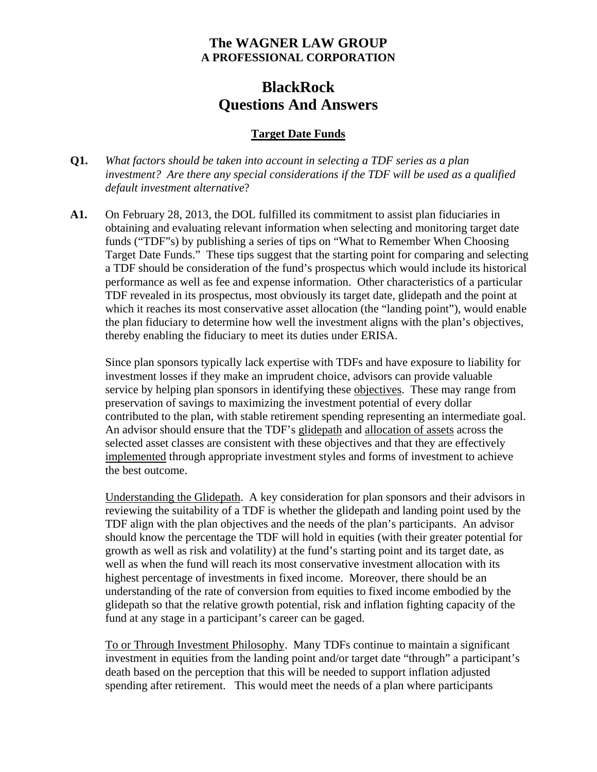# **The WAGNER LAW GROUP A PROFESSIONAL CORPORATION**

# **BlackRock Questions And Answers**

### **Target Date Funds**

- **Q1.** *What factors should be taken into account in selecting a TDF series as a plan investment? Are there any special considerations if the TDF will be used as a qualified default investment alternative*?
- **A1.** On February 28, 2013, the DOL fulfilled its commitment to assist plan fiduciaries in obtaining and evaluating relevant information when selecting and monitoring target date funds ("TDF"s) by publishing a series of tips on "What to Remember When Choosing Target Date Funds." These tips suggest that the starting point for comparing and selecting a TDF should be consideration of the fund's prospectus which would include its historical performance as well as fee and expense information. Other characteristics of a particular TDF revealed in its prospectus, most obviously its target date, glidepath and the point at which it reaches its most conservative asset allocation (the "landing point"), would enable the plan fiduciary to determine how well the investment aligns with the plan's objectives, thereby enabling the fiduciary to meet its duties under ERISA.

Since plan sponsors typically lack expertise with TDFs and have exposure to liability for investment losses if they make an imprudent choice, advisors can provide valuable service by helping plan sponsors in identifying these objectives. These may range from preservation of savings to maximizing the investment potential of every dollar contributed to the plan, with stable retirement spending representing an intermediate goal. An advisor should ensure that the TDF's glidepath and allocation of assets across the selected asset classes are consistent with these objectives and that they are effectively implemented through appropriate investment styles and forms of investment to achieve the best outcome.

Understanding the Glidepath. A key consideration for plan sponsors and their advisors in reviewing the suitability of a TDF is whether the glidepath and landing point used by the TDF align with the plan objectives and the needs of the plan's participants. An advisor should know the percentage the TDF will hold in equities (with their greater potential for growth as well as risk and volatility) at the fund's starting point and its target date, as well as when the fund will reach its most conservative investment allocation with its highest percentage of investments in fixed income. Moreover, there should be an understanding of the rate of conversion from equities to fixed income embodied by the glidepath so that the relative growth potential, risk and inflation fighting capacity of the fund at any stage in a participant's career can be gaged.

To or Through Investment Philosophy. Many TDFs continue to maintain a significant investment in equities from the landing point and/or target date "through" a participant's death based on the perception that this will be needed to support inflation adjusted spending after retirement. This would meet the needs of a plan where participants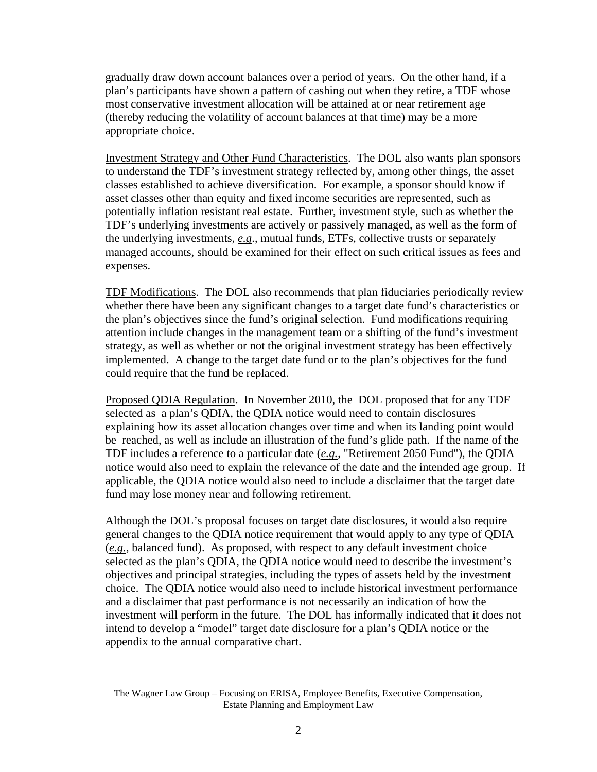gradually draw down account balances over a period of years. On the other hand, if a plan's participants have shown a pattern of cashing out when they retire, a TDF whose most conservative investment allocation will be attained at or near retirement age (thereby reducing the volatility of account balances at that time) may be a more appropriate choice.

Investment Strategy and Other Fund Characteristics. The DOL also wants plan sponsors to understand the TDF's investment strategy reflected by, among other things, the asset classes established to achieve diversification. For example, a sponsor should know if asset classes other than equity and fixed income securities are represented, such as potentially inflation resistant real estate. Further, investment style, such as whether the TDF's underlying investments are actively or passively managed, as well as the form of the underlying investments, *e.g*., mutual funds, ETFs, collective trusts or separately managed accounts, should be examined for their effect on such critical issues as fees and expenses.

TDF Modifications. The DOL also recommends that plan fiduciaries periodically review whether there have been any significant changes to a target date fund's characteristics or the plan's objectives since the fund's original selection. Fund modifications requiring attention include changes in the management team or a shifting of the fund's investment strategy, as well as whether or not the original investment strategy has been effectively implemented. A change to the target date fund or to the plan's objectives for the fund could require that the fund be replaced.

Proposed QDIA Regulation. In November 2010, the DOL proposed that for any TDF selected as a plan's QDIA, the QDIA notice would need to contain disclosures explaining how its asset allocation changes over time and when its landing point would be reached, as well as include an illustration of the fund's glide path. If the name of the TDF includes a reference to a particular date (*e.g.*, "Retirement 2050 Fund"), the QDIA notice would also need to explain the relevance of the date and the intended age group. If applicable, the QDIA notice would also need to include a disclaimer that the target date fund may lose money near and following retirement.

Although the DOL's proposal focuses on target date disclosures, it would also require general changes to the QDIA notice requirement that would apply to any type of QDIA (*e.g.*, balanced fund). As proposed, with respect to any default investment choice selected as the plan's QDIA, the QDIA notice would need to describe the investment's objectives and principal strategies, including the types of assets held by the investment choice. The QDIA notice would also need to include historical investment performance and a disclaimer that past performance is not necessarily an indication of how the investment will perform in the future. The DOL has informally indicated that it does not intend to develop a "model" target date disclosure for a plan's QDIA notice or the appendix to the annual comparative chart.

The Wagner Law Group – Focusing on ERISA, Employee Benefits, Executive Compensation, Estate Planning and Employment Law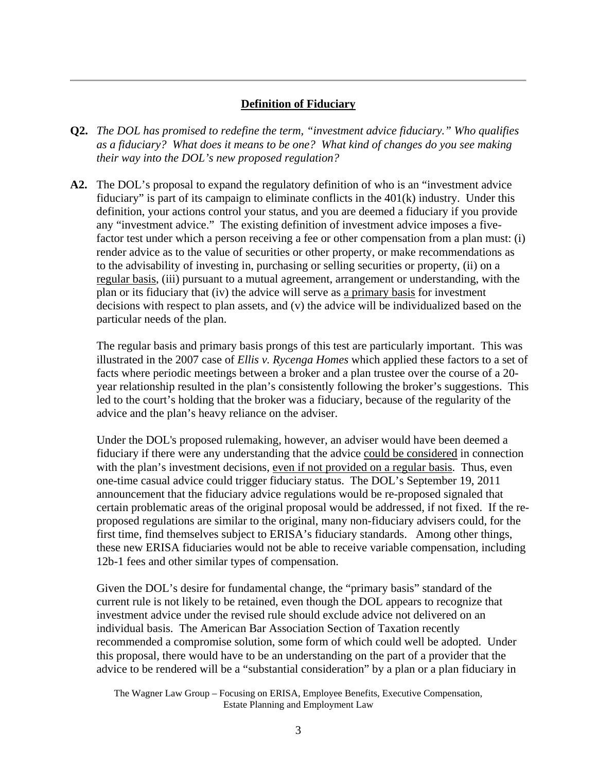#### **Definition of Fiduciary**

- **Q2.** *The DOL has promised to redefine the term, "investment advice fiduciary." Who qualifies as a fiduciary? What does it means to be one? What kind of changes do you see making their way into the DOL's new proposed regulation?*
- **A2.** The DOL's proposal to expand the regulatory definition of who is an "investment advice fiduciary" is part of its campaign to eliminate conflicts in the 401(k) industry. Under this definition, your actions control your status, and you are deemed a fiduciary if you provide any "investment advice." The existing definition of investment advice imposes a fivefactor test under which a person receiving a fee or other compensation from a plan must: (i) render advice as to the value of securities or other property, or make recommendations as to the advisability of investing in, purchasing or selling securities or property, (ii) on a regular basis, (iii) pursuant to a mutual agreement, arrangement or understanding, with the plan or its fiduciary that (iv) the advice will serve as a primary basis for investment decisions with respect to plan assets, and (v) the advice will be individualized based on the particular needs of the plan.

The regular basis and primary basis prongs of this test are particularly important. This was illustrated in the 2007 case of *Ellis v. Rycenga Homes* which applied these factors to a set of facts where periodic meetings between a broker and a plan trustee over the course of a 20 year relationship resulted in the plan's consistently following the broker's suggestions. This led to the court's holding that the broker was a fiduciary, because of the regularity of the advice and the plan's heavy reliance on the adviser.

Under the DOL's proposed rulemaking, however, an adviser would have been deemed a fiduciary if there were any understanding that the advice could be considered in connection with the plan's investment decisions, even if not provided on a regular basis. Thus, even one-time casual advice could trigger fiduciary status. The DOL's September 19, 2011 announcement that the fiduciary advice regulations would be re-proposed signaled that certain problematic areas of the original proposal would be addressed, if not fixed. If the reproposed regulations are similar to the original, many non-fiduciary advisers could, for the first time, find themselves subject to ERISA's fiduciary standards. Among other things, these new ERISA fiduciaries would not be able to receive variable compensation, including 12b-1 fees and other similar types of compensation.

Given the DOL's desire for fundamental change, the "primary basis" standard of the current rule is not likely to be retained, even though the DOL appears to recognize that investment advice under the revised rule should exclude advice not delivered on an individual basis. The American Bar Association Section of Taxation recently recommended a compromise solution, some form of which could well be adopted. Under this proposal, there would have to be an understanding on the part of a provider that the advice to be rendered will be a "substantial consideration" by a plan or a plan fiduciary in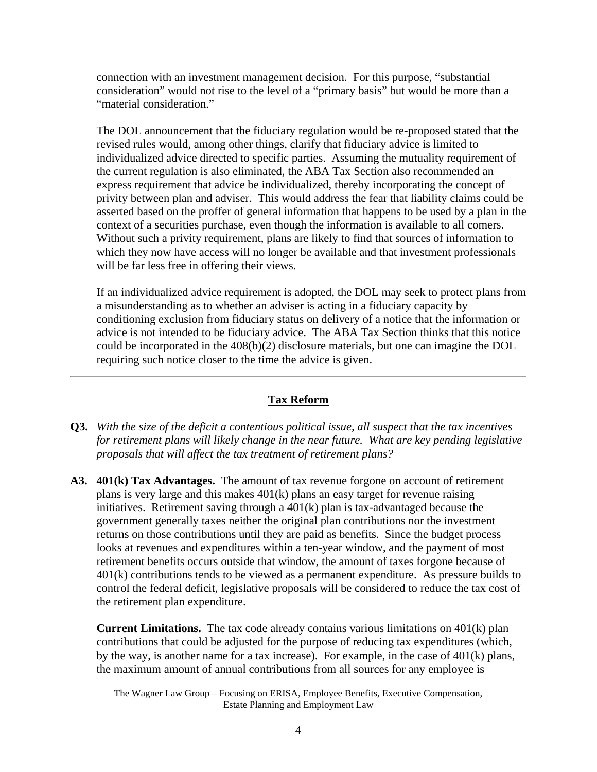connection with an investment management decision. For this purpose, "substantial consideration" would not rise to the level of a "primary basis" but would be more than a "material consideration."

The DOL announcement that the fiduciary regulation would be re-proposed stated that the revised rules would, among other things, clarify that fiduciary advice is limited to individualized advice directed to specific parties. Assuming the mutuality requirement of the current regulation is also eliminated, the ABA Tax Section also recommended an express requirement that advice be individualized, thereby incorporating the concept of privity between plan and adviser. This would address the fear that liability claims could be asserted based on the proffer of general information that happens to be used by a plan in the context of a securities purchase, even though the information is available to all comers. Without such a privity requirement, plans are likely to find that sources of information to which they now have access will no longer be available and that investment professionals will be far less free in offering their views.

If an individualized advice requirement is adopted, the DOL may seek to protect plans from a misunderstanding as to whether an adviser is acting in a fiduciary capacity by conditioning exclusion from fiduciary status on delivery of a notice that the information or advice is not intended to be fiduciary advice. The ABA Tax Section thinks that this notice could be incorporated in the 408(b)(2) disclosure materials, but one can imagine the DOL requiring such notice closer to the time the advice is given.

## **Tax Reform**

- **Q3.** *With the size of the deficit a contentious political issue, all suspect that the tax incentives for retirement plans will likely change in the near future. What are key pending legislative proposals that will affect the tax treatment of retirement plans?*
- **A3. 401(k) Tax Advantages.** The amount of tax revenue forgone on account of retirement plans is very large and this makes 401(k) plans an easy target for revenue raising initiatives. Retirement saving through a 401(k) plan is tax-advantaged because the government generally taxes neither the original plan contributions nor the investment returns on those contributions until they are paid as benefits. Since the budget process looks at revenues and expenditures within a ten-year window, and the payment of most retirement benefits occurs outside that window, the amount of taxes forgone because of 401(k) contributions tends to be viewed as a permanent expenditure. As pressure builds to control the federal deficit, legislative proposals will be considered to reduce the tax cost of the retirement plan expenditure.

**Current Limitations.** The tax code already contains various limitations on 401(k) plan contributions that could be adjusted for the purpose of reducing tax expenditures (which, by the way, is another name for a tax increase). For example, in the case of 401(k) plans, the maximum amount of annual contributions from all sources for any employee is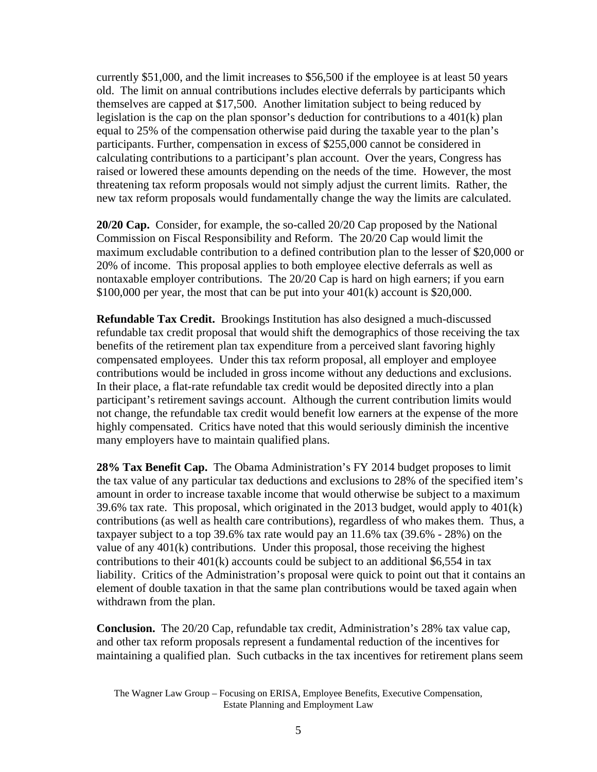currently \$51,000, and the limit increases to \$56,500 if the employee is at least 50 years old. The limit on annual contributions includes elective deferrals by participants which themselves are capped at \$17,500. Another limitation subject to being reduced by legislation is the cap on the plan sponsor's deduction for contributions to a 401(k) plan equal to 25% of the compensation otherwise paid during the taxable year to the plan's participants. Further, compensation in excess of \$255,000 cannot be considered in calculating contributions to a participant's plan account. Over the years, Congress has raised or lowered these amounts depending on the needs of the time. However, the most threatening tax reform proposals would not simply adjust the current limits. Rather, the new tax reform proposals would fundamentally change the way the limits are calculated.

**20/20 Cap.** Consider, for example, the so-called 20/20 Cap proposed by the National Commission on Fiscal Responsibility and Reform. The 20/20 Cap would limit the maximum excludable contribution to a defined contribution plan to the lesser of \$20,000 or 20% of income. This proposal applies to both employee elective deferrals as well as nontaxable employer contributions. The 20/20 Cap is hard on high earners; if you earn \$100,000 per year, the most that can be put into your 401(k) account is \$20,000.

**Refundable Tax Credit.** Brookings Institution has also designed a much-discussed refundable tax credit proposal that would shift the demographics of those receiving the tax benefits of the retirement plan tax expenditure from a perceived slant favoring highly compensated employees. Under this tax reform proposal, all employer and employee contributions would be included in gross income without any deductions and exclusions. In their place, a flat-rate refundable tax credit would be deposited directly into a plan participant's retirement savings account. Although the current contribution limits would not change, the refundable tax credit would benefit low earners at the expense of the more highly compensated. Critics have noted that this would seriously diminish the incentive many employers have to maintain qualified plans.

**28% Tax Benefit Cap.** The Obama Administration's FY 2014 budget proposes to limit the tax value of any particular tax deductions and exclusions to 28% of the specified item's amount in order to increase taxable income that would otherwise be subject to a maximum 39.6% tax rate. This proposal, which originated in the 2013 budget, would apply to 401(k) contributions (as well as health care contributions), regardless of who makes them. Thus, a taxpayer subject to a top 39.6% tax rate would pay an 11.6% tax (39.6% - 28%) on the value of any  $401(k)$  contributions. Under this proposal, those receiving the highest contributions to their 401(k) accounts could be subject to an additional \$6,554 in tax liability. Critics of the Administration's proposal were quick to point out that it contains an element of double taxation in that the same plan contributions would be taxed again when withdrawn from the plan.

**Conclusion.** The 20/20 Cap, refundable tax credit, Administration's 28% tax value cap, and other tax reform proposals represent a fundamental reduction of the incentives for maintaining a qualified plan. Such cutbacks in the tax incentives for retirement plans seem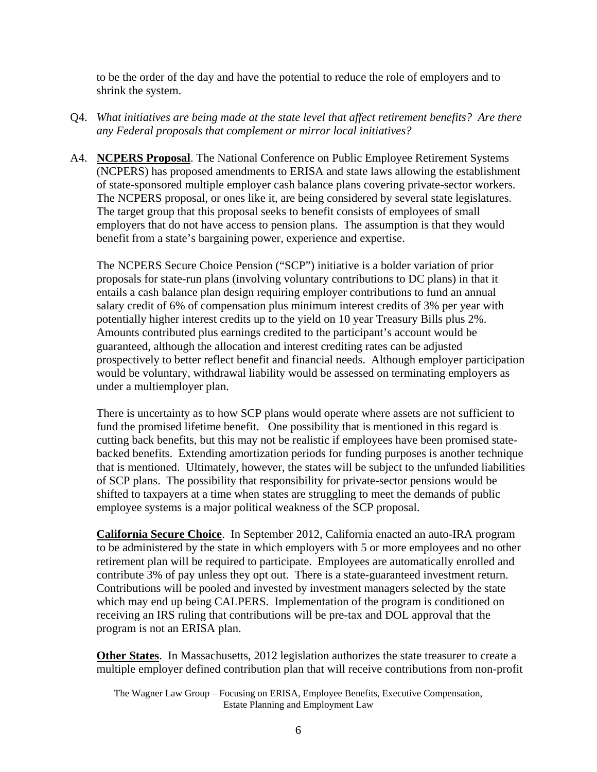to be the order of the day and have the potential to reduce the role of employers and to shrink the system.

- Q4. *What initiatives are being made at the state level that affect retirement benefits? Are there any Federal proposals that complement or mirror local initiatives?*
- A4. **NCPERS Proposal**. The National Conference on Public Employee Retirement Systems (NCPERS) has proposed amendments to ERISA and state laws allowing the establishment of state-sponsored multiple employer cash balance plans covering private-sector workers. The NCPERS proposal, or ones like it, are being considered by several state legislatures. The target group that this proposal seeks to benefit consists of employees of small employers that do not have access to pension plans. The assumption is that they would benefit from a state's bargaining power, experience and expertise.

The NCPERS Secure Choice Pension ("SCP") initiative is a bolder variation of prior proposals for state-run plans (involving voluntary contributions to DC plans) in that it entails a cash balance plan design requiring employer contributions to fund an annual salary credit of 6% of compensation plus minimum interest credits of 3% per year with potentially higher interest credits up to the yield on 10 year Treasury Bills plus 2%. Amounts contributed plus earnings credited to the participant's account would be guaranteed, although the allocation and interest crediting rates can be adjusted prospectively to better reflect benefit and financial needs. Although employer participation would be voluntary, withdrawal liability would be assessed on terminating employers as under a multiemployer plan.

There is uncertainty as to how SCP plans would operate where assets are not sufficient to fund the promised lifetime benefit. One possibility that is mentioned in this regard is cutting back benefits, but this may not be realistic if employees have been promised statebacked benefits. Extending amortization periods for funding purposes is another technique that is mentioned. Ultimately, however, the states will be subject to the unfunded liabilities of SCP plans. The possibility that responsibility for private-sector pensions would be shifted to taxpayers at a time when states are struggling to meet the demands of public employee systems is a major political weakness of the SCP proposal.

**California Secure Choice**. In September 2012, California enacted an auto-IRA program to be administered by the state in which employers with 5 or more employees and no other retirement plan will be required to participate. Employees are automatically enrolled and contribute 3% of pay unless they opt out. There is a state-guaranteed investment return. Contributions will be pooled and invested by investment managers selected by the state which may end up being CALPERS. Implementation of the program is conditioned on receiving an IRS ruling that contributions will be pre-tax and DOL approval that the program is not an ERISA plan.

**Other States**. In Massachusetts, 2012 legislation authorizes the state treasurer to create a multiple employer defined contribution plan that will receive contributions from non-profit

The Wagner Law Group – Focusing on ERISA, Employee Benefits, Executive Compensation, Estate Planning and Employment Law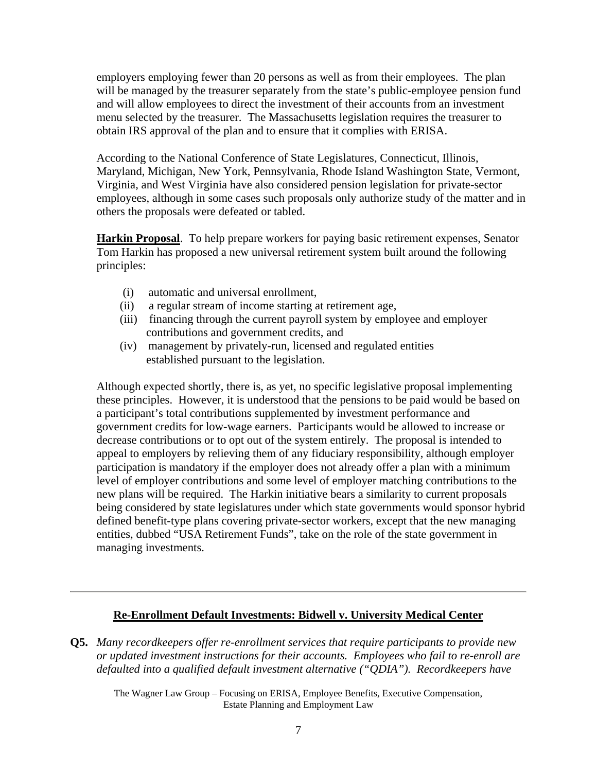employers employing fewer than 20 persons as well as from their employees. The plan will be managed by the treasurer separately from the state's public-employee pension fund and will allow employees to direct the investment of their accounts from an investment menu selected by the treasurer. The Massachusetts legislation requires the treasurer to obtain IRS approval of the plan and to ensure that it complies with ERISA.

According to the National Conference of State Legislatures, Connecticut, Illinois, Maryland, Michigan, New York, Pennsylvania, Rhode Island Washington State, Vermont, Virginia, and West Virginia have also considered pension legislation for private-sector employees, although in some cases such proposals only authorize study of the matter and in others the proposals were defeated or tabled.

**Harkin Proposal**. To help prepare workers for paying basic retirement expenses, Senator Tom Harkin has proposed a new universal retirement system built around the following principles:

- (i) automatic and universal enrollment,
- (ii) a regular stream of income starting at retirement age,
- (iii) financing through the current payroll system by employee and employer contributions and government credits, and
- (iv) management by privately-run, licensed and regulated entities established pursuant to the legislation.

Although expected shortly, there is, as yet, no specific legislative proposal implementing these principles. However, it is understood that the pensions to be paid would be based on a participant's total contributions supplemented by investment performance and government credits for low-wage earners. Participants would be allowed to increase or decrease contributions or to opt out of the system entirely. The proposal is intended to appeal to employers by relieving them of any fiduciary responsibility, although employer participation is mandatory if the employer does not already offer a plan with a minimum level of employer contributions and some level of employer matching contributions to the new plans will be required. The Harkin initiative bears a similarity to current proposals being considered by state legislatures under which state governments would sponsor hybrid defined benefit-type plans covering private-sector workers, except that the new managing entities, dubbed "USA Retirement Funds", take on the role of the state government in managing investments.

#### **Re-Enrollment Default Investments: Bidwell v. University Medical Center**

**Q5.** *Many recordkeepers offer re-enrollment services that require participants to provide new or updated investment instructions for their accounts. Employees who fail to re-enroll are defaulted into a qualified default investment alternative ("QDIA"). Recordkeepers have*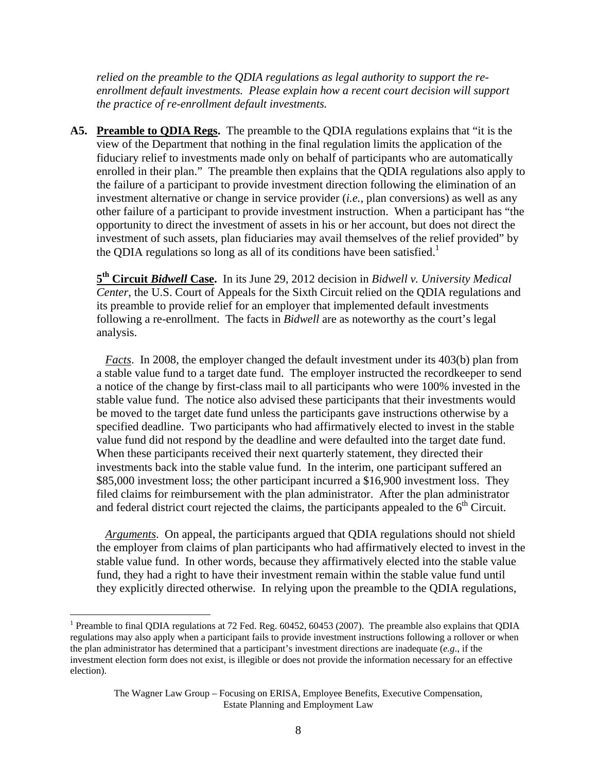*relied on the preamble to the QDIA regulations as legal authority to support the reenrollment default investments. Please explain how a recent court decision will support the practice of re-enrollment default investments.* 

**A5. Preamble to QDIA Regs.** The preamble to the QDIA regulations explains that "it is the view of the Department that nothing in the final regulation limits the application of the fiduciary relief to investments made only on behalf of participants who are automatically enrolled in their plan." The preamble then explains that the QDIA regulations also apply to the failure of a participant to provide investment direction following the elimination of an investment alternative or change in service provider (*i.e.*, plan conversions) as well as any other failure of a participant to provide investment instruction. When a participant has "the opportunity to direct the investment of assets in his or her account, but does not direct the investment of such assets, plan fiduciaries may avail themselves of the relief provided" by the QDIA regulations so long as all of its conditions have been satisfied.<sup>1</sup>

**5th Circuit** *Bidwell* **Case.** In its June 29, 2012 decision in *Bidwell v. University Medical Center*, the U.S. Court of Appeals for the Sixth Circuit relied on the QDIA regulations and its preamble to provide relief for an employer that implemented default investments following a re-enrollment. The facts in *Bidwell* are as noteworthy as the court's legal analysis.

*Facts*. In 2008, the employer changed the default investment under its 403(b) plan from a stable value fund to a target date fund. The employer instructed the recordkeeper to send a notice of the change by first-class mail to all participants who were 100% invested in the stable value fund. The notice also advised these participants that their investments would be moved to the target date fund unless the participants gave instructions otherwise by a specified deadline. Two participants who had affirmatively elected to invest in the stable value fund did not respond by the deadline and were defaulted into the target date fund. When these participants received their next quarterly statement, they directed their investments back into the stable value fund. In the interim, one participant suffered an \$85,000 investment loss; the other participant incurred a \$16,900 investment loss. They filed claims for reimbursement with the plan administrator. After the plan administrator and federal district court rejected the claims, the participants appealed to the  $6<sup>th</sup>$  Circuit.

*Arguments*. On appeal, the participants argued that QDIA regulations should not shield the employer from claims of plan participants who had affirmatively elected to invest in the stable value fund. In other words, because they affirmatively elected into the stable value fund, they had a right to have their investment remain within the stable value fund until they explicitly directed otherwise. In relying upon the preamble to the QDIA regulations,

 $\overline{a}$ 

<sup>&</sup>lt;sup>1</sup> Preamble to final QDIA regulations at 72 Fed. Reg.  $60452$ ,  $60453$  (2007). The preamble also explains that QDIA regulations may also apply when a participant fails to provide investment instructions following a rollover or when the plan administrator has determined that a participant's investment directions are inadequate (*e.g*., if the investment election form does not exist, is illegible or does not provide the information necessary for an effective election).

The Wagner Law Group – Focusing on ERISA, Employee Benefits, Executive Compensation, Estate Planning and Employment Law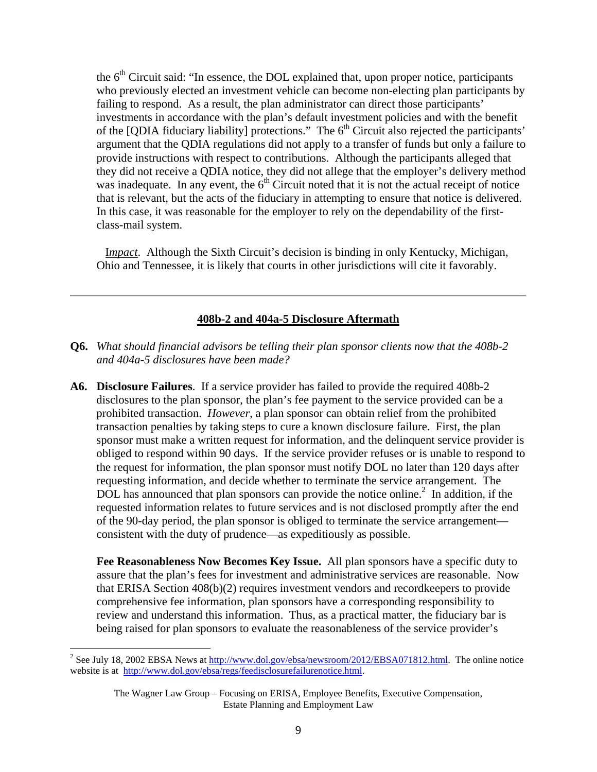the 6<sup>th</sup> Circuit said: "In essence, the DOL explained that, upon proper notice, participants who previously elected an investment vehicle can become non-electing plan participants by failing to respond. As a result, the plan administrator can direct those participants' investments in accordance with the plan's default investment policies and with the benefit of the [QDIA fiduciary liability] protections." The  $6<sup>th</sup>$  Circuit also rejected the participants' argument that the QDIA regulations did not apply to a transfer of funds but only a failure to provide instructions with respect to contributions. Although the participants alleged that they did not receive a QDIA notice, they did not allege that the employer's delivery method was inadequate. In any event, the  $6<sup>th</sup>$  Circuit noted that it is not the actual receipt of notice that is relevant, but the acts of the fiduciary in attempting to ensure that notice is delivered. In this case, it was reasonable for the employer to rely on the dependability of the firstclass-mail system.

I*mpact*. Although the Sixth Circuit's decision is binding in only Kentucky, Michigan, Ohio and Tennessee, it is likely that courts in other jurisdictions will cite it favorably.

#### **408b-2 and 404a-5 Disclosure Aftermath**

- **Q6.** *What should financial advisors be telling their plan sponsor clients now that the 408b-2 and 404a-5 disclosures have been made?*
- **A6. Disclosure Failures**. If a service provider has failed to provide the required 408b-2 disclosures to the plan sponsor, the plan's fee payment to the service provided can be a prohibited transaction. *However*, a plan sponsor can obtain relief from the prohibited transaction penalties by taking steps to cure a known disclosure failure. First, the plan sponsor must make a written request for information, and the delinquent service provider is obliged to respond within 90 days. If the service provider refuses or is unable to respond to the request for information, the plan sponsor must notify DOL no later than 120 days after requesting information, and decide whether to terminate the service arrangement. The DOL has announced that plan sponsors can provide the notice online.<sup>2</sup> In addition, if the requested information relates to future services and is not disclosed promptly after the end of the 90-day period, the plan sponsor is obliged to terminate the service arrangement consistent with the duty of prudence—as expeditiously as possible.

**Fee Reasonableness Now Becomes Key Issue.** All plan sponsors have a specific duty to assure that the plan's fees for investment and administrative services are reasonable. Now that ERISA Section 408(b)(2) requires investment vendors and recordkeepers to provide comprehensive fee information, plan sponsors have a corresponding responsibility to review and understand this information. Thus, as a practical matter, the fiduciary bar is being raised for plan sponsors to evaluate the reasonableness of the service provider's

 $\overline{a}$ 

<sup>&</sup>lt;sup>2</sup> See July 18, 2002 EBSA News at  $\frac{http://www.dol.gov/ebsa/newsroom/2012/EBSA071812.html}{http://www.dol.gov/ebsa/newsroom/2012/EBSA071812.html}$ . The online notice website is at http://www.dol.gov/ebsa/regs/feedisclosurefailurenotice.html.

The Wagner Law Group – Focusing on ERISA, Employee Benefits, Executive Compensation, Estate Planning and Employment Law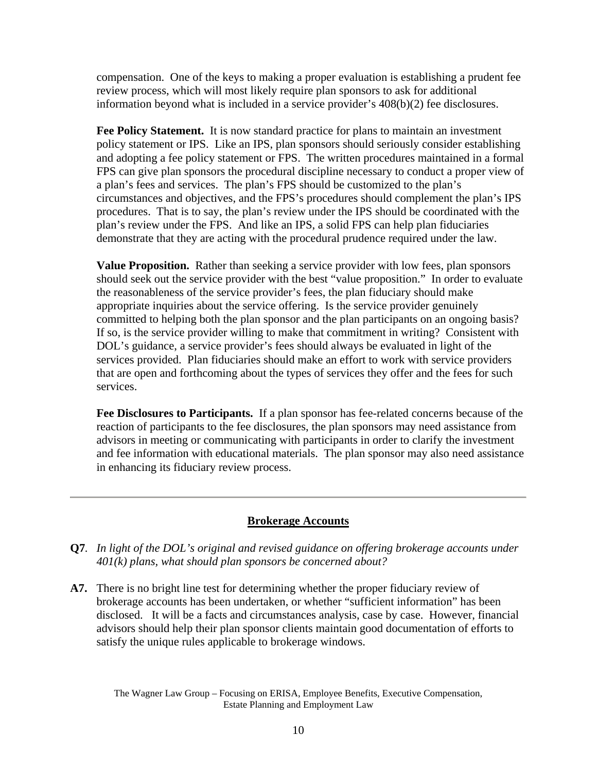compensation. One of the keys to making a proper evaluation is establishing a prudent fee review process, which will most likely require plan sponsors to ask for additional information beyond what is included in a service provider's 408(b)(2) fee disclosures.

**Fee Policy Statement.** It is now standard practice for plans to maintain an investment policy statement or IPS. Like an IPS, plan sponsors should seriously consider establishing and adopting a fee policy statement or FPS. The written procedures maintained in a formal FPS can give plan sponsors the procedural discipline necessary to conduct a proper view of a plan's fees and services. The plan's FPS should be customized to the plan's circumstances and objectives, and the FPS's procedures should complement the plan's IPS procedures. That is to say, the plan's review under the IPS should be coordinated with the plan's review under the FPS. And like an IPS, a solid FPS can help plan fiduciaries demonstrate that they are acting with the procedural prudence required under the law.

**Value Proposition.** Rather than seeking a service provider with low fees, plan sponsors should seek out the service provider with the best "value proposition." In order to evaluate the reasonableness of the service provider's fees, the plan fiduciary should make appropriate inquiries about the service offering. Is the service provider genuinely committed to helping both the plan sponsor and the plan participants on an ongoing basis? If so, is the service provider willing to make that commitment in writing? Consistent with DOL's guidance, a service provider's fees should always be evaluated in light of the services provided. Plan fiduciaries should make an effort to work with service providers that are open and forthcoming about the types of services they offer and the fees for such services.

**Fee Disclosures to Participants.** If a plan sponsor has fee-related concerns because of the reaction of participants to the fee disclosures, the plan sponsors may need assistance from advisors in meeting or communicating with participants in order to clarify the investment and fee information with educational materials. The plan sponsor may also need assistance in enhancing its fiduciary review process.

#### **Brokerage Accounts**

- **Q7***. In light of the DOL's original and revised guidance on offering brokerage accounts under 401(k) plans, what should plan sponsors be concerned about?*
- **A7.** There is no bright line test for determining whether the proper fiduciary review of brokerage accounts has been undertaken, or whether "sufficient information" has been disclosed. It will be a facts and circumstances analysis, case by case. However, financial advisors should help their plan sponsor clients maintain good documentation of efforts to satisfy the unique rules applicable to brokerage windows.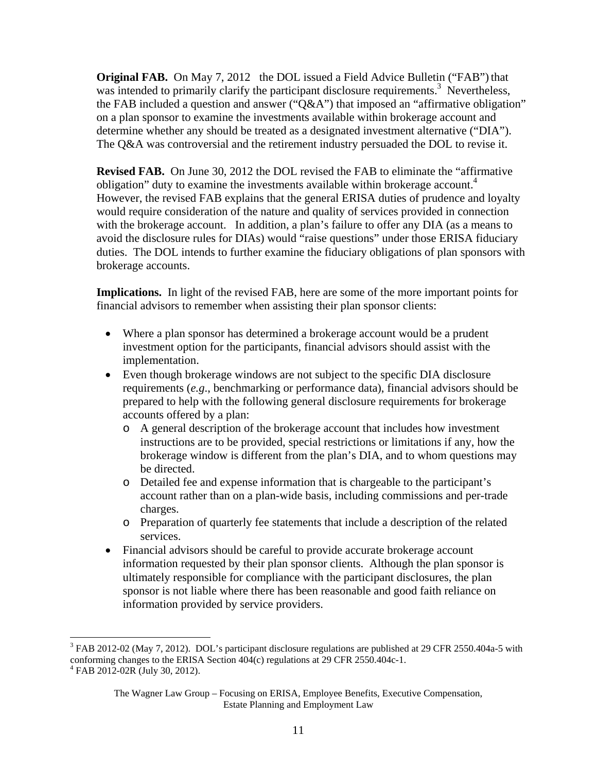**Original FAB.** On May 7, 2012 the DOL issued a Field Advice Bulletin ("FAB") that was intended to primarily clarify the participant disclosure requirements.<sup>3</sup> Nevertheless, the FAB included a question and answer ("Q&A") that imposed an "affirmative obligation" on a plan sponsor to examine the investments available within brokerage account and determine whether any should be treated as a designated investment alternative ("DIA"). The Q&A was controversial and the retirement industry persuaded the DOL to revise it.

**Revised FAB.** On June 30, 2012 the DOL revised the FAB to eliminate the "affirmative obligation" duty to examine the investments available within brokerage account.<sup>4</sup> However, the revised FAB explains that the general ERISA duties of prudence and loyalty would require consideration of the nature and quality of services provided in connection with the brokerage account. In addition, a plan's failure to offer any DIA (as a means to avoid the disclosure rules for DIAs) would "raise questions" under those ERISA fiduciary duties. The DOL intends to further examine the fiduciary obligations of plan sponsors with brokerage accounts.

**Implications.** In light of the revised FAB, here are some of the more important points for financial advisors to remember when assisting their plan sponsor clients:

- Where a plan sponsor has determined a brokerage account would be a prudent investment option for the participants, financial advisors should assist with the implementation.
- Even though brokerage windows are not subject to the specific DIA disclosure requirements (*e.g*., benchmarking or performance data), financial advisors should be prepared to help with the following general disclosure requirements for brokerage accounts offered by a plan:
	- o A general description of the brokerage account that includes how investment instructions are to be provided, special restrictions or limitations if any, how the brokerage window is different from the plan's DIA, and to whom questions may be directed.
	- o Detailed fee and expense information that is chargeable to the participant's account rather than on a plan-wide basis, including commissions and per-trade charges.
	- o Preparation of quarterly fee statements that include a description of the related services.
- Financial advisors should be careful to provide accurate brokerage account information requested by their plan sponsor clients. Although the plan sponsor is ultimately responsible for compliance with the participant disclosures, the plan sponsor is not liable where there has been reasonable and good faith reliance on information provided by service providers.

1

 $3$  FAB 2012-02 (May 7, 2012). DOL's participant disclosure regulations are published at 29 CFR 2550.404a-5 with conforming changes to the ERISA Section 404(c) regulations at 29 CFR 2550.404c-1.

<sup>4</sup> FAB 2012-02R (July 30, 2012).

The Wagner Law Group – Focusing on ERISA, Employee Benefits, Executive Compensation, Estate Planning and Employment Law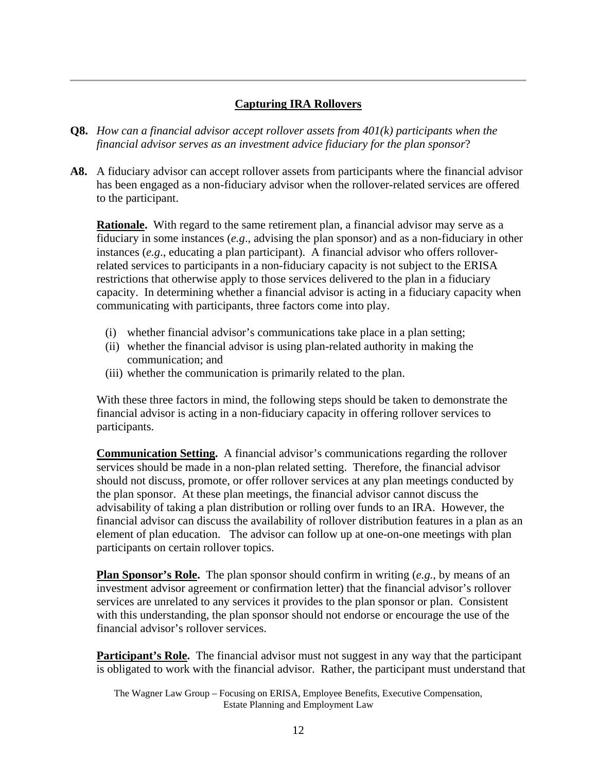## **Capturing IRA Rollovers**

- **Q8.** *How can a financial advisor accept rollover assets from 401(k) participants when the financial advisor serves as an investment advice fiduciary for the plan sponsor*?
- **A8.** A fiduciary advisor can accept rollover assets from participants where the financial advisor has been engaged as a non-fiduciary advisor when the rollover-related services are offered to the participant.

**Rationale.** With regard to the same retirement plan, a financial advisor may serve as a fiduciary in some instances (*e.g*., advising the plan sponsor) and as a non-fiduciary in other instances (*e.g*., educating a plan participant). A financial advisor who offers rolloverrelated services to participants in a non-fiduciary capacity is not subject to the ERISA restrictions that otherwise apply to those services delivered to the plan in a fiduciary capacity. In determining whether a financial advisor is acting in a fiduciary capacity when communicating with participants, three factors come into play.

- (i) whether financial advisor's communications take place in a plan setting;
- (ii) whether the financial advisor is using plan-related authority in making the communication; and
- (iii) whether the communication is primarily related to the plan.

With these three factors in mind, the following steps should be taken to demonstrate the financial advisor is acting in a non-fiduciary capacity in offering rollover services to participants.

**Communication Setting.** A financial advisor's communications regarding the rollover services should be made in a non-plan related setting. Therefore, the financial advisor should not discuss, promote, or offer rollover services at any plan meetings conducted by the plan sponsor. At these plan meetings, the financial advisor cannot discuss the advisability of taking a plan distribution or rolling over funds to an IRA. However, the financial advisor can discuss the availability of rollover distribution features in a plan as an element of plan education. The advisor can follow up at one-on-one meetings with plan participants on certain rollover topics.

**Plan Sponsor's Role.** The plan sponsor should confirm in writing (*e.g.*, by means of an investment advisor agreement or confirmation letter) that the financial advisor's rollover services are unrelated to any services it provides to the plan sponsor or plan. Consistent with this understanding, the plan sponsor should not endorse or encourage the use of the financial advisor's rollover services.

**Participant's Role.** The financial advisor must not suggest in any way that the participant is obligated to work with the financial advisor. Rather, the participant must understand that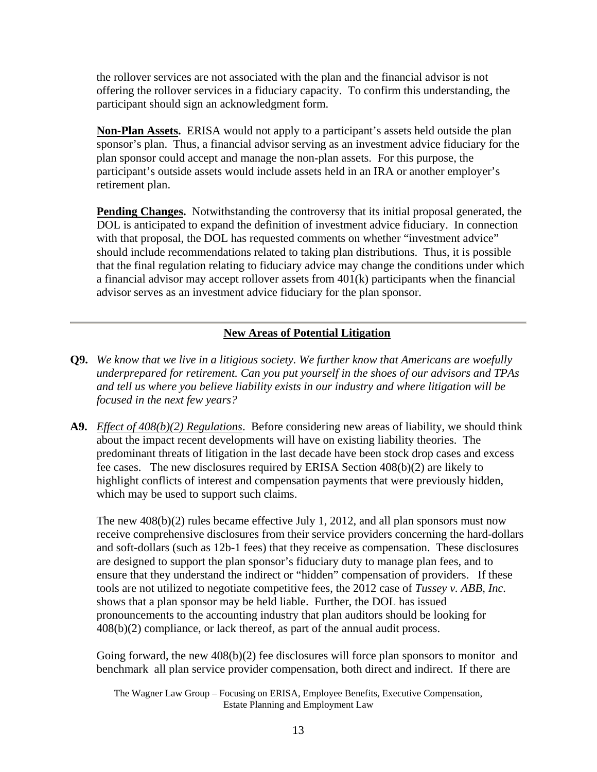the rollover services are not associated with the plan and the financial advisor is not offering the rollover services in a fiduciary capacity. To confirm this understanding, the participant should sign an acknowledgment form.

**Non-Plan Assets.** ERISA would not apply to a participant's assets held outside the plan sponsor's plan. Thus, a financial advisor serving as an investment advice fiduciary for the plan sponsor could accept and manage the non-plan assets. For this purpose, the participant's outside assets would include assets held in an IRA or another employer's retirement plan.

**Pending Changes.** Notwithstanding the controversy that its initial proposal generated, the DOL is anticipated to expand the definition of investment advice fiduciary. In connection with that proposal, the DOL has requested comments on whether "investment advice" should include recommendations related to taking plan distributions. Thus, it is possible that the final regulation relating to fiduciary advice may change the conditions under which a financial advisor may accept rollover assets from 401(k) participants when the financial advisor serves as an investment advice fiduciary for the plan sponsor.

## **New Areas of Potential Litigation**

- **Q9.** *We know that we live in a litigious society. We further know that Americans are woefully underprepared for retirement. Can you put yourself in the shoes of our advisors and TPAs and tell us where you believe liability exists in our industry and where litigation will be focused in the next few years?*
- **A9.** *Effect of 408(b)(2) Regulations*. Before considering new areas of liability, we should think about the impact recent developments will have on existing liability theories. The predominant threats of litigation in the last decade have been stock drop cases and excess fee cases. The new disclosures required by ERISA Section 408(b)(2) are likely to highlight conflicts of interest and compensation payments that were previously hidden, which may be used to support such claims.

The new 408(b)(2) rules became effective July 1, 2012, and all plan sponsors must now receive comprehensive disclosures from their service providers concerning the hard-dollars and soft-dollars (such as 12b-1 fees) that they receive as compensation. These disclosures are designed to support the plan sponsor's fiduciary duty to manage plan fees, and to ensure that they understand the indirect or "hidden" compensation of providers. If these tools are not utilized to negotiate competitive fees, the 2012 case of *Tussey v. ABB, Inc.* shows that a plan sponsor may be held liable. Further, the DOL has issued pronouncements to the accounting industry that plan auditors should be looking for  $408(b)(2)$  compliance, or lack thereof, as part of the annual audit process.

Going forward, the new  $408(b)(2)$  fee disclosures will force plan sponsors to monitor and benchmark all plan service provider compensation, both direct and indirect. If there are